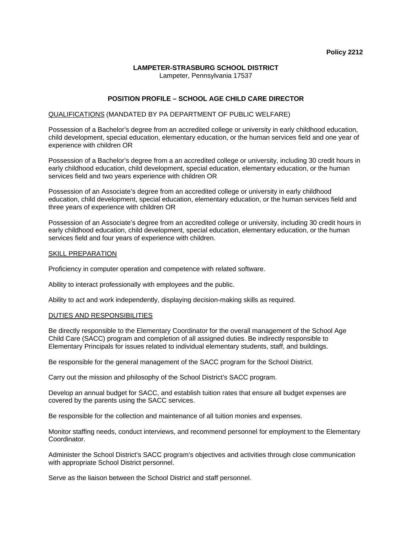#### **LAMPETER-STRASBURG SCHOOL DISTRICT**  Lampeter, Pennsylvania 17537

# **POSITION PROFILE – SCHOOL AGE CHILD CARE DIRECTOR**

## QUALIFICATIONS (MANDATED BY PA DEPARTMENT OF PUBLIC WELFARE)

Possession of a Bachelor's degree from an accredited college or university in early childhood education, child development, special education, elementary education, or the human services field and one year of experience with children OR

Possession of a Bachelor's degree from a an accredited college or university, including 30 credit hours in early childhood education, child development, special education, elementary education, or the human services field and two years experience with children OR

Possession of an Associate's degree from an accredited college or university in early childhood education, child development, special education, elementary education, or the human services field and three years of experience with children OR

Possession of an Associate's degree from an accredited college or university, including 30 credit hours in early childhood education, child development, special education, elementary education, or the human services field and four years of experience with children.

## SKILL PREPARATION

Proficiency in computer operation and competence with related software.

Ability to interact professionally with employees and the public.

Ability to act and work independently, displaying decision-making skills as required.

#### DUTIES AND RESPONSIBILITIES

Be directly responsible to the Elementary Coordinator for the overall management of the School Age Child Care (SACC) program and completion of all assigned duties. Be indirectly responsible to Elementary Principals for issues related to individual elementary students, staff, and buildings.

Be responsible for the general management of the SACC program for the School District.

Carry out the mission and philosophy of the School District's SACC program.

Develop an annual budget for SACC, and establish tuition rates that ensure all budget expenses are covered by the parents using the SACC services.

Be responsible for the collection and maintenance of all tuition monies and expenses.

Monitor staffing needs, conduct interviews, and recommend personnel for employment to the Elementary Coordinator.

Administer the School District's SACC program's objectives and activities through close communication with appropriate School District personnel.

Serve as the liaison between the School District and staff personnel.